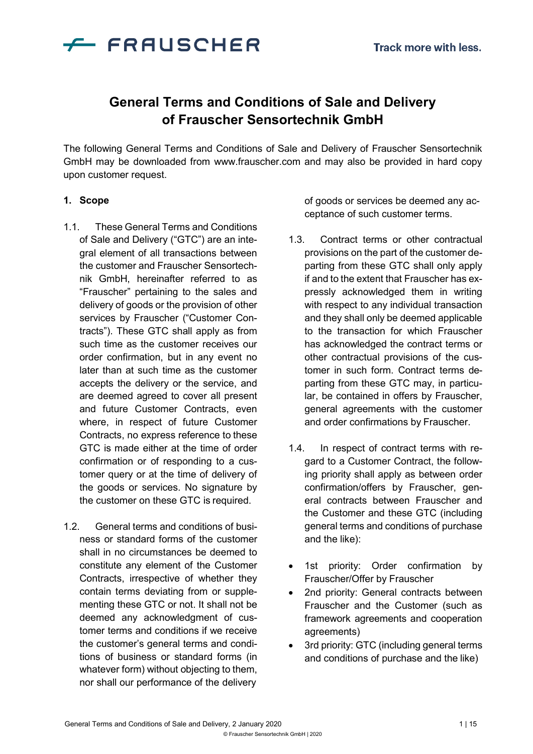

# **General Terms and Conditions of Sale and Delivery of Frauscher Sensortechnik GmbH**

The following General Terms and Conditions of Sale and Delivery of Frauscher Sensortechnik GmbH may be downloaded from [www.frauscher.com a](http://www.frauscher.com/)nd may also be provided in hard copy upon customer request.

#### **1. Scope**

- 1.1. These General Terms and Conditions of Sale and Delivery ("GTC") are an integral element of all transactions between the customer and Frauscher Sensortechnik GmbH, hereinafter referred to as "Frauscher" pertaining to the sales and delivery of goods or the provision of other services by Frauscher ("Customer Contracts"). These GTC shall apply as from such time as the customer receives our order confirmation, but in any event no later than at such time as the customer accepts the delivery or the service, and are deemed agreed to cover all present and future Customer Contracts, even where, in respect of future Customer Contracts, no express reference to these GTC is made either at the time of order confirmation or of responding to a customer query or at the time of delivery of the goods or services. No signature by the customer on these GTC is required.
- 1.2. General terms and conditions of business or standard forms of the customer shall in no circumstances be deemed to constitute any element of the Customer Contracts, irrespective of whether they contain terms deviating from or supplementing these GTC or not. It shall not be deemed any acknowledgment of customer terms and conditions if we receive the customer's general terms and conditions of business or standard forms (in whatever form) without objecting to them, nor shall our performance of the delivery

of goods or services be deemed any acceptance of such customer terms.

- 1.3. Contract terms or other contractual provisions on the part of the customer departing from these GTC shall only apply if and to the extent that Frauscher has expressly acknowledged them in writing with respect to any individual transaction and they shall only be deemed applicable to the transaction for which Frauscher has acknowledged the contract terms or other contractual provisions of the customer in such form. Contract terms departing from these GTC may, in particular, be contained in offers by Frauscher, general agreements with the customer and order confirmations by Frauscher.
- 1.4. In respect of contract terms with regard to a Customer Contract, the following priority shall apply as between order confirmation/offers by Frauscher, general contracts between Frauscher and the Customer and these GTC (including general terms and conditions of purchase and the like):
- 1st priority: Order confirmation by Frauscher/Offer by Frauscher
- 2nd priority: General contracts between Frauscher and the Customer (such as framework agreements and cooperation agreements)
- 3rd priority: GTC (including general terms and conditions of purchase and the like)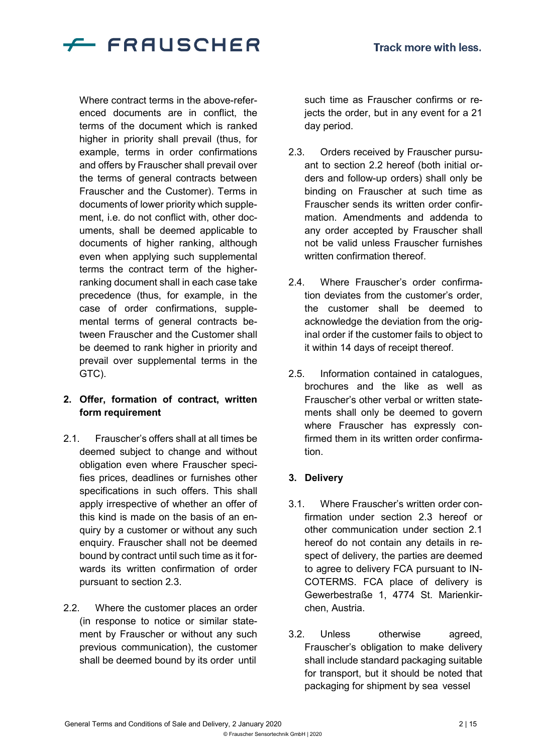

Where contract terms in the above-referenced documents are in conflict, the terms of the document which is ranked higher in priority shall prevail (thus, for example, terms in order confirmations and offers by Frauscher shall prevail over the terms of general contracts between Frauscher and the Customer). Terms in documents of lower priority which supplement, i.e. do not conflict with, other documents, shall be deemed applicable to documents of higher ranking, although even when applying such supplemental terms the contract term of the higherranking document shall in each case take precedence (thus, for example, in the case of order confirmations, supplemental terms of general contracts between Frauscher and the Customer shall be deemed to rank higher in priority and prevail over supplemental terms in the GTC).

## **2. Offer, formation of contract, written form requirement**

- 2.1. Frauscher's offers shall at all times be deemed subject to change and without obligation even where Frauscher specifies prices, deadlines or furnishes other specifications in such offers. This shall apply irrespective of whether an offer of this kind is made on the basis of an enquiry by a customer or without any such enquiry. Frauscher shall not be deemed bound by contract until such time as it forwards its written confirmation of order pursuant to section 2.3.
- 2.2. Where the customer places an order (in response to notice or similar statement by Frauscher or without any such previous communication), the customer shall be deemed bound by its order until

such time as Frauscher confirms or rejects the order, but in any event for a 21 day period.

- 2.3. Orders received by Frauscher pursuant to section 2.2 hereof (both initial orders and follow-up orders) shall only be binding on Frauscher at such time as Frauscher sends its written order confirmation. Amendments and addenda to any order accepted by Frauscher shall not be valid unless Frauscher furnishes written confirmation thereof.
- 2.4. Where Frauscher's order confirmation deviates from the customer's order, the customer shall be deemed to acknowledge the deviation from the original order if the customer fails to object to it within 14 days of receipt thereof.
- 2.5. Information contained in catalogues, brochures and the like as well as Frauscher's other verbal or written statements shall only be deemed to govern where Frauscher has expressly confirmed them in its written order confirmation.

# **3. Delivery**

- 3.1. Where Frauscher's written order confirmation under section 2.3 hereof or other communication under section 2.1 hereof do not contain any details in respect of delivery, the parties are deemed to agree to delivery FCA pursuant to IN-COTERMS. FCA place of delivery is Gewerbestraße 1, 4774 St. Marienkirchen, Austria.
- 3.2. Unless otherwise agreed, Frauscher's obligation to make delivery shall include standard packaging suitable for transport, but it should be noted that packaging for shipment by sea vessel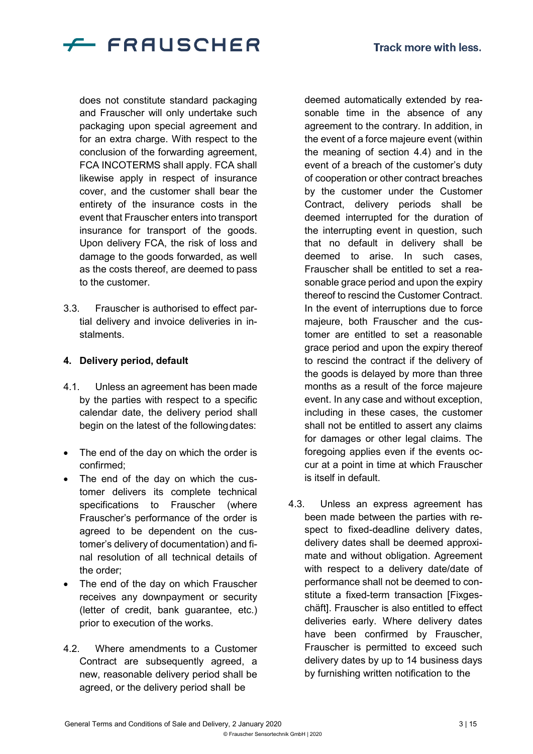

does not constitute standard packaging and Frauscher will only undertake such packaging upon special agreement and for an extra charge. With respect to the conclusion of the forwarding agreement, FCA INCOTERMS shall apply. FCA shall likewise apply in respect of insurance cover, and the customer shall bear the entirety of the insurance costs in the event that Frauscher enters into transport insurance for transport of the goods. Upon delivery FCA, the risk of loss and damage to the goods forwarded, as well as the costs thereof, are deemed to pass to the customer.

3.3. Frauscher is authorised to effect partial delivery and invoice deliveries in instalments.

#### **4. Delivery period, default**

- 4.1. Unless an agreement has been made by the parties with respect to a specific calendar date, the delivery period shall begin on the latest of the following dates:
- The end of the day on which the order is confirmed;
- The end of the day on which the customer delivers its complete technical specifications to Frauscher (where Frauscher's performance of the order is agreed to be dependent on the customer's delivery of documentation) and final resolution of all technical details of the order;
- The end of the day on which Frauscher receives any downpayment or security (letter of credit, bank guarantee, etc.) prior to execution of the works.
- 4.2. Where amendments to a Customer Contract are subsequently agreed, a new, reasonable delivery period shall be agreed, or the delivery period shall be

deemed automatically extended by reasonable time in the absence of any agreement to the contrary. In addition, in the event of a force majeure event (within the meaning of section 4.4) and in the event of a breach of the customer's duty of cooperation or other contract breaches by the customer under the Customer Contract, delivery periods shall be deemed interrupted for the duration of the interrupting event in question, such that no default in delivery shall be deemed to arise. In such cases, Frauscher shall be entitled to set a reasonable grace period and upon the expiry thereof to rescind the Customer Contract. In the event of interruptions due to force majeure, both Frauscher and the customer are entitled to set a reasonable grace period and upon the expiry thereof to rescind the contract if the delivery of the goods is delayed by more than three months as a result of the force majeure event. In any case and without exception, including in these cases, the customer shall not be entitled to assert any claims for damages or other legal claims. The foregoing applies even if the events occur at a point in time at which Frauscher is itself in default.

4.3. Unless an express agreement has been made between the parties with respect to fixed-deadline delivery dates, delivery dates shall be deemed approximate and without obligation. Agreement with respect to a delivery date/date of performance shall not be deemed to constitute a fixed-term transaction [Fixgeschäft]. Frauscher is also entitled to effect deliveries early. Where delivery dates have been confirmed by Frauscher, Frauscher is permitted to exceed such delivery dates by up to 14 business days by furnishing written notification to the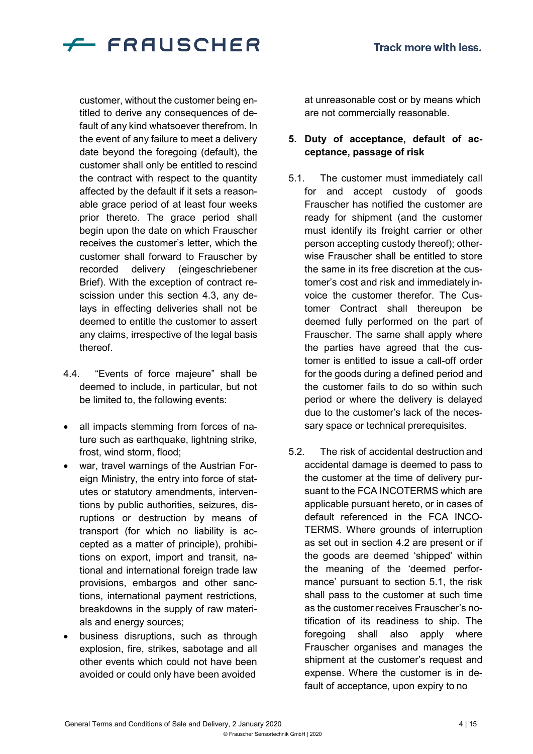

customer, without the customer being entitled to derive any consequences of default of any kind whatsoever therefrom. In the event of any failure to meet a delivery date beyond the foregoing (default), the customer shall only be entitled to rescind the contract with respect to the quantity affected by the default if it sets a reasonable grace period of at least four weeks prior thereto. The grace period shall begin upon the date on which Frauscher receives the customer's letter, which the customer shall forward to Frauscher by recorded delivery (eingeschriebener Brief). With the exception of contract rescission under this section 4.3, any delays in effecting deliveries shall not be deemed to entitle the customer to assert any claims, irrespective of the legal basis thereof.

- 4.4. "Events of force majeure" shall be deemed to include, in particular, but not be limited to, the following events:
- all impacts stemming from forces of nature such as earthquake, lightning strike, frost, wind storm, flood;
- war, travel warnings of the Austrian Foreign Ministry, the entry into force of statutes or statutory amendments, interventions by public authorities, seizures, disruptions or destruction by means of transport (for which no liability is accepted as a matter of principle), prohibitions on export, import and transit, national and international foreign trade law provisions, embargos and other sanctions, international payment restrictions, breakdowns in the supply of raw materials and energy sources;
- business disruptions, such as through explosion, fire, strikes, sabotage and all other events which could not have been avoided or could only have been avoided

at unreasonable cost or by means which are not commercially reasonable.

## **5. Duty of acceptance, default of acceptance, passage of risk**

- 5.1. The customer must immediately call for and accept custody of goods Frauscher has notified the customer are ready for shipment (and the customer must identify its freight carrier or other person accepting custody thereof); otherwise Frauscher shall be entitled to store the same in its free discretion at the customer's cost and risk and immediately invoice the customer therefor. The Customer Contract shall thereupon be deemed fully performed on the part of Frauscher. The same shall apply where the parties have agreed that the customer is entitled to issue a call-off order for the goods during a defined period and the customer fails to do so within such period or where the delivery is delayed due to the customer's lack of the necessary space or technical prerequisites.
- 5.2. The risk of accidental destruction and accidental damage is deemed to pass to the customer at the time of delivery pursuant to the FCA INCOTERMS which are applicable pursuant hereto, or in cases of default referenced in the FCA INCO-TERMS. Where grounds of interruption as set out in section 4.2 are present or if the goods are deemed 'shipped' within the meaning of the 'deemed performance' pursuant to section 5.1, the risk shall pass to the customer at such time as the customer receives Frauscher's notification of its readiness to ship. The foregoing shall also apply where Frauscher organises and manages the shipment at the customer's request and expense. Where the customer is in default of acceptance, upon expiry to no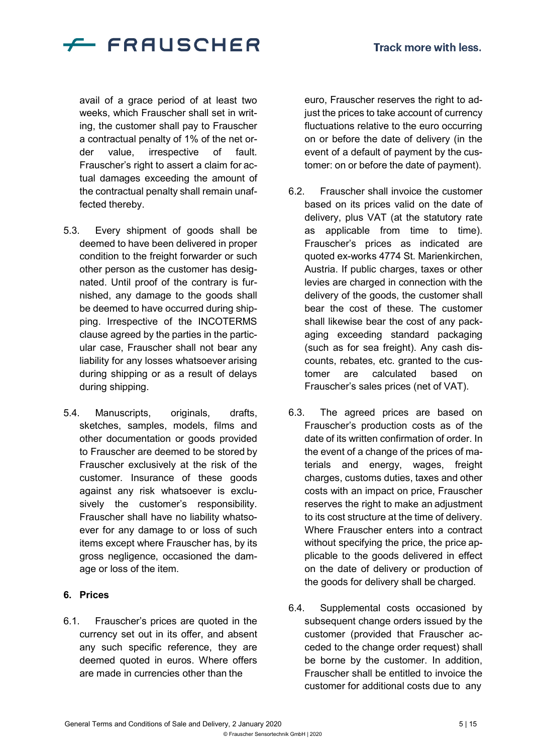

avail of a grace period of at least two weeks, which Frauscher shall set in writing, the customer shall pay to Frauscher a contractual penalty of 1% of the net order value, irrespective of fault. Frauscher's right to assert a claim for actual damages exceeding the amount of the contractual penalty shall remain unaffected thereby.

- 5.3. Every shipment of goods shall be deemed to have been delivered in proper condition to the freight forwarder or such other person as the customer has designated. Until proof of the contrary is furnished, any damage to the goods shall be deemed to have occurred during shipping. Irrespective of the INCOTERMS clause agreed by the parties in the particular case, Frauscher shall not bear any liability for any losses whatsoever arising during shipping or as a result of delays during shipping.
- 5.4. Manuscripts, originals, drafts, sketches, samples, models, films and other documentation or goods provided to Frauscher are deemed to be stored by Frauscher exclusively at the risk of the customer. Insurance of these goods against any risk whatsoever is exclusively the customer's responsibility. Frauscher shall have no liability whatsoever for any damage to or loss of such items except where Frauscher has, by its gross negligence, occasioned the damage or loss of the item.

#### **6. Prices**

6.1. Frauscher's prices are quoted in the currency set out in its offer, and absent any such specific reference, they are deemed quoted in euros. Where offers are made in currencies other than the

euro, Frauscher reserves the right to adjust the prices to take account of currency fluctuations relative to the euro occurring on or before the date of delivery (in the event of a default of payment by the customer: on or before the date of payment).

- 6.2. Frauscher shall invoice the customer based on its prices valid on the date of delivery, plus VAT (at the statutory rate as applicable from time to time). Frauscher's prices as indicated are quoted ex-works 4774 St. Marienkirchen, Austria. If public charges, taxes or other levies are charged in connection with the delivery of the goods, the customer shall bear the cost of these. The customer shall likewise bear the cost of any packaging exceeding standard packaging (such as for sea freight). Any cash discounts, rebates, etc. granted to the customer are calculated based on Frauscher's sales prices (net of VAT).
- 6.3. The agreed prices are based on Frauscher's production costs as of the date of its written confirmation of order. In the event of a change of the prices of materials and energy, wages, freight charges, customs duties, taxes and other costs with an impact on price, Frauscher reserves the right to make an adjustment to its cost structure at the time of delivery. Where Frauscher enters into a contract without specifying the price, the price applicable to the goods delivered in effect on the date of delivery or production of the goods for delivery shall be charged.
- 6.4. Supplemental costs occasioned by subsequent change orders issued by the customer (provided that Frauscher acceded to the change order request) shall be borne by the customer. In addition, Frauscher shall be entitled to invoice the customer for additional costs due to any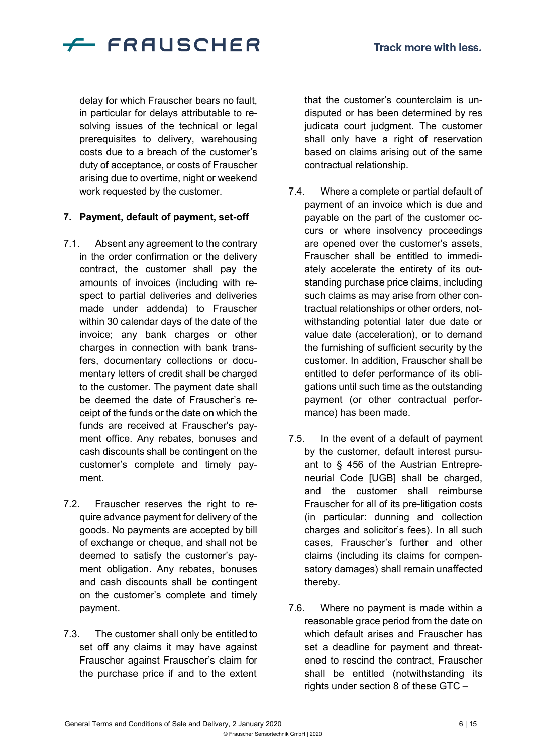

delay for which Frauscher bears no fault, in particular for delays attributable to resolving issues of the technical or legal prerequisites to delivery, warehousing costs due to a breach of the customer's duty of acceptance, or costs of Frauscher arising due to overtime, night or weekend work requested by the customer.

#### **7. Payment, default of payment, set-off**

- 7.1. Absent any agreement to the contrary in the order confirmation or the delivery contract, the customer shall pay the amounts of invoices (including with respect to partial deliveries and deliveries made under addenda) to Frauscher within 30 calendar days of the date of the invoice; any bank charges or other charges in connection with bank transfers, documentary collections or documentary letters of credit shall be charged to the customer. The payment date shall be deemed the date of Frauscher's receipt of the funds or the date on which the funds are received at Frauscher's payment office. Any rebates, bonuses and cash discounts shall be contingent on the customer's complete and timely payment.
- 7.2. Frauscher reserves the right to require advance payment for delivery of the goods. No payments are accepted by bill of exchange or cheque, and shall not be deemed to satisfy the customer's payment obligation. Any rebates, bonuses and cash discounts shall be contingent on the customer's complete and timely payment.
- 7.3. The customer shall only be entitled to set off any claims it may have against Frauscher against Frauscher's claim for the purchase price if and to the extent

that the customer's counterclaim is undisputed or has been determined by res judicata court judgment. The customer shall only have a right of reservation based on claims arising out of the same contractual relationship.

- 7.4. Where a complete or partial default of payment of an invoice which is due and payable on the part of the customer occurs or where insolvency proceedings are opened over the customer's assets, Frauscher shall be entitled to immediately accelerate the entirety of its outstanding purchase price claims, including such claims as may arise from other contractual relationships or other orders, notwithstanding potential later due date or value date (acceleration), or to demand the furnishing of sufficient security by the customer. In addition, Frauscher shall be entitled to defer performance of its obligations until such time as the outstanding payment (or other contractual performance) has been made.
- 7.5. In the event of a default of payment by the customer, default interest pursuant to § 456 of the Austrian Entrepreneurial Code [UGB] shall be charged, and the customer shall reimburse Frauscher for all of its pre-litigation costs (in particular: dunning and collection charges and solicitor's fees). In all such cases, Frauscher's further and other claims (including its claims for compensatory damages) shall remain unaffected thereby.
- 7.6. Where no payment is made within a reasonable grace period from the date on which default arises and Frauscher has set a deadline for payment and threatened to rescind the contract, Frauscher shall be entitled (notwithstanding its rights under section 8 of these GTC –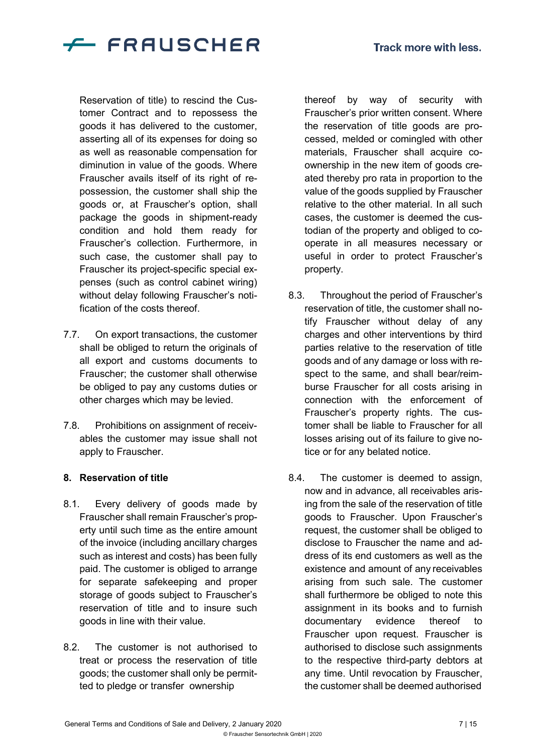

Reservation of title) to rescind the Customer Contract and to repossess the goods it has delivered to the customer, asserting all of its expenses for doing so as well as reasonable compensation for diminution in value of the goods. Where Frauscher avails itself of its right of repossession, the customer shall ship the goods or, at Frauscher's option, shall package the goods in shipment-ready condition and hold them ready for Frauscher's collection. Furthermore, in such case, the customer shall pay to Frauscher its project-specific special expenses (such as control cabinet wiring) without delay following Frauscher's notification of the costs thereof.

- 7.7. On export transactions, the customer shall be obliged to return the originals of all export and customs documents to Frauscher; the customer shall otherwise be obliged to pay any customs duties or other charges which may be levied.
- 7.8. Prohibitions on assignment of receivables the customer may issue shall not apply to Frauscher.

#### **8. Reservation of title**

- 8.1. Every delivery of goods made by Frauscher shall remain Frauscher's property until such time as the entire amount of the invoice (including ancillary charges such as interest and costs) has been fully paid. The customer is obliged to arrange for separate safekeeping and proper storage of goods subject to Frauscher's reservation of title and to insure such goods in line with their value.
- 8.2. The customer is not authorised to treat or process the reservation of title goods; the customer shall only be permitted to pledge or transfer ownership

thereof by way of security with Frauscher's prior written consent. Where the reservation of title goods are processed, melded or comingled with other materials, Frauscher shall acquire coownership in the new item of goods created thereby pro rata in proportion to the value of the goods supplied by Frauscher relative to the other material. In all such cases, the customer is deemed the custodian of the property and obliged to cooperate in all measures necessary or useful in order to protect Frauscher's property.

- 8.3. Throughout the period of Frauscher's reservation of title, the customer shall notify Frauscher without delay of any charges and other interventions by third parties relative to the reservation of title goods and of any damage or loss with respect to the same, and shall bear/reimburse Frauscher for all costs arising in connection with the enforcement of Frauscher's property rights. The customer shall be liable to Frauscher for all losses arising out of its failure to give notice or for any belated notice.
- 8.4. The customer is deemed to assign, now and in advance, all receivables arising from the sale of the reservation of title goods to Frauscher. Upon Frauscher's request, the customer shall be obliged to disclose to Frauscher the name and address of its end customers as well as the existence and amount of any receivables arising from such sale. The customer shall furthermore be obliged to note this assignment in its books and to furnish documentary evidence thereof to Frauscher upon request. Frauscher is authorised to disclose such assignments to the respective third-party debtors at any time. Until revocation by Frauscher, the customer shall be deemed authorised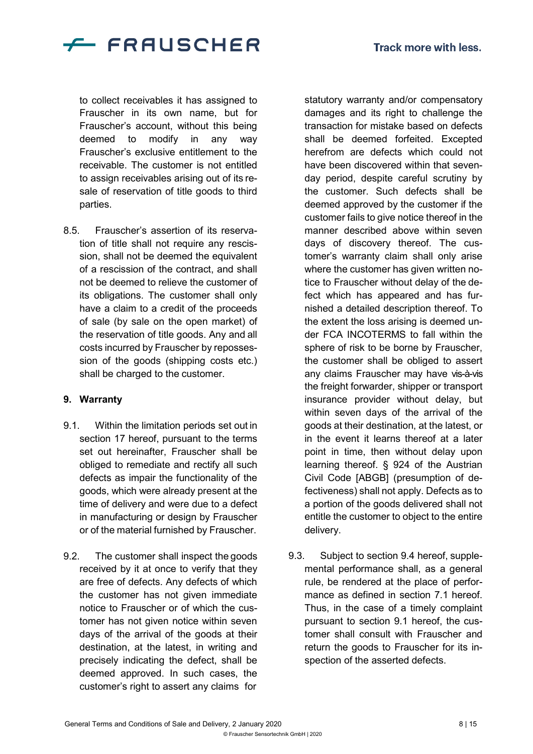

to collect receivables it has assigned to Frauscher in its own name, but for Frauscher's account, without this being deemed to modify in any way Frauscher's exclusive entitlement to the receivable. The customer is not entitled to assign receivables arising out of its resale of reservation of title goods to third parties.

8.5. Frauscher's assertion of its reservation of title shall not require any rescission, shall not be deemed the equivalent of a rescission of the contract, and shall not be deemed to relieve the customer of its obligations. The customer shall only have a claim to a credit of the proceeds of sale (by sale on the open market) of the reservation of title goods. Any and all costs incurred by Frauscher by repossession of the goods (shipping costs etc.) shall be charged to the customer.

#### **9. Warranty**

- 9.1. Within the limitation periods set out in section 17 hereof, pursuant to the terms set out hereinafter, Frauscher shall be obliged to remediate and rectify all such defects as impair the functionality of the goods, which were already present at the time of delivery and were due to a defect in manufacturing or design by Frauscher or of the material furnished by Frauscher.
- 9.2. The customer shall inspect the goods received by it at once to verify that they are free of defects. Any defects of which the customer has not given immediate notice to Frauscher or of which the customer has not given notice within seven days of the arrival of the goods at their destination, at the latest, in writing and precisely indicating the defect, shall be deemed approved. In such cases, the customer's right to assert any claims for

statutory warranty and/or compensatory damages and its right to challenge the transaction for mistake based on defects shall be deemed forfeited. Excepted herefrom are defects which could not have been discovered within that sevenday period, despite careful scrutiny by the customer. Such defects shall be deemed approved by the customer if the customer fails to give notice thereof in the manner described above within seven days of discovery thereof. The customer's warranty claim shall only arise where the customer has given written notice to Frauscher without delay of the defect which has appeared and has furnished a detailed description thereof. To the extent the loss arising is deemed under FCA INCOTERMS to fall within the sphere of risk to be borne by Frauscher, the customer shall be obliged to assert any claims Frauscher may have vis-à-vis the freight forwarder, shipper or transport insurance provider without delay, but within seven days of the arrival of the goods at their destination, at the latest, or in the event it learns thereof at a later point in time, then without delay upon learning thereof. § 924 of the Austrian Civil Code [ABGB] (presumption of defectiveness) shall not apply. Defects as to a portion of the goods delivered shall not entitle the customer to object to the entire delivery.

9.3. Subject to section 9.4 hereof, supplemental performance shall, as a general rule, be rendered at the place of performance as defined in section 7.1 hereof. Thus, in the case of a timely complaint pursuant to section 9.1 hereof, the customer shall consult with Frauscher and return the goods to Frauscher for its inspection of the asserted defects.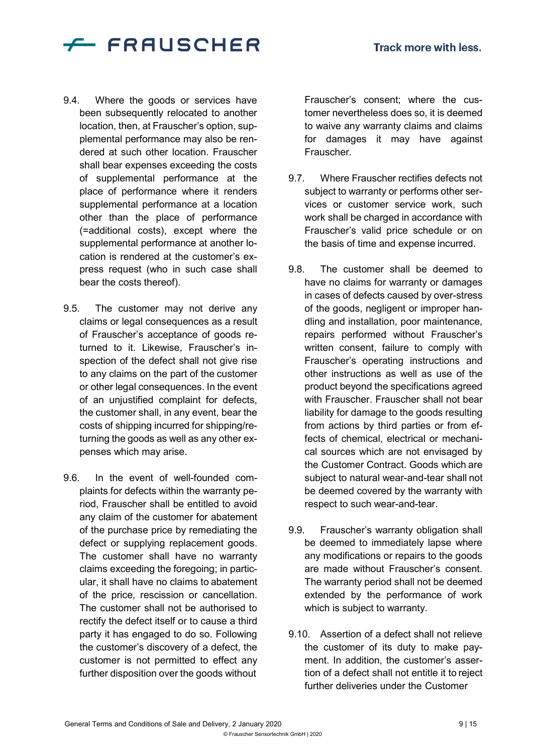

- 9.4. Where the goods or services have been subsequently relocated to another location, then, at Frauscher's option, supplemental performance may also be rendered at such other location. Frauscher shall bear expenses exceeding the costs of supplemental performance at the place of performance where it renders supplemental performance at a location other than the place of performance (=additional costs), except where the supplemental performance at another location is rendered at the customer's express request (who in such case shall bear the costs thereof).
- 9.5. The customer may not derive any claims or legal consequences as a result of Frauscher's acceptance of goods returned to it. Likewise, Frauscher's inspection of the defect shall not give rise to any claims on the part of the customer or other legal consequences. In the event of an unjustified complaint for defects, the customer shall, in any event, bear the costs of shipping incurred for shipping/returning the goods as well as any other expenses which may arise.
- 9.6. In the event of well-founded complaints for defects within the warranty period, Frauscher shall be entitled to avoid any claim of the customer for abatement of the purchase price by remediating the defect or supplying replacement goods. The customer shall have no warranty claims exceeding the foregoing; in particular, it shall have no claims to abatement of the price, rescission or cancellation. The customer shall not be authorised to rectify the defect itself or to cause a third party it has engaged to do so. Following the customer's discovery of a defect, the customer is not permitted to effect any further disposition over the goods without

Frauscher's consent; where the customer nevertheless does so, it is deemed to waive any warranty claims and claims for damages it may have against Frauscher.

- 9.7. Where Frauscher rectifies defects not subject to warranty or performs other services or customer service work, such work shall be charged in accordance with Frauscher's valid price schedule or on the basis of time and expense incurred.
- 9.8. The customer shall be deemed to have no claims for warranty or damages in cases of defects caused by over-stress of the goods, negligent or improper handling and installation, poor maintenance, repairs performed without Frauscher's written consent, failure to comply with Frauscher's operating instructions and other instructions as well as use of the product beyond the specifications agreed with Frauscher. Frauscher shall not bear liability for damage to the goods resulting from actions by third parties or from effects of chemical, electrical or mechanical sources which are not envisaged by the Customer Contract. Goods which are subject to natural wear-and-tear shall not be deemed covered by the warranty with respect to such wear-and-tear.
- 9.9. Frauscher's warranty obligation shall be deemed to immediately lapse where any modifications or repairs to the goods are made without Frauscher's consent. The warranty period shall not be deemed extended by the performance of work which is subject to warranty.
- 9.10. Assertion of a defect shall not relieve the customer of its duty to make payment. In addition, the customer's assertion of a defect shall not entitle it to reject further deliveries under the Customer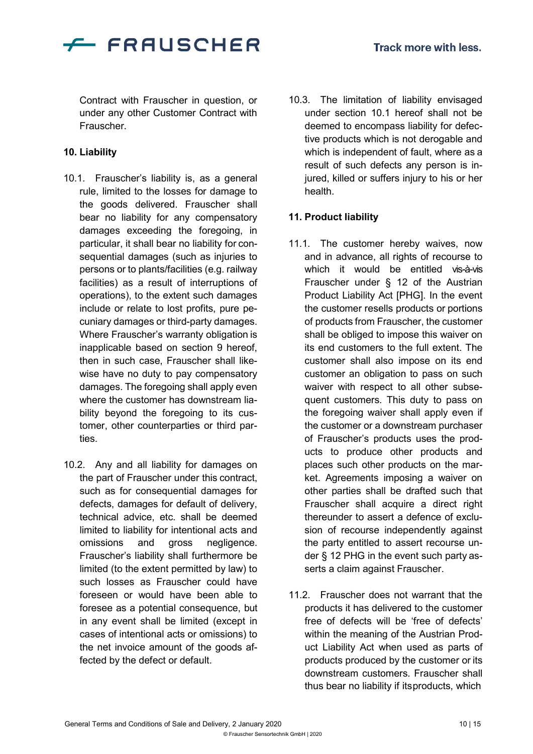

Contract with Frauscher in question, or under any other Customer Contract with Frauscher.

## **10. Liability**

- 10.1. Frauscher's liability is, as a general rule, limited to the losses for damage to the goods delivered. Frauscher shall bear no liability for any compensatory damages exceeding the foregoing, in particular, it shall bear no liability for consequential damages (such as injuries to persons or to plants/facilities (e.g. railway facilities) as a result of interruptions of operations), to the extent such damages include or relate to lost profits, pure pecuniary damages or third-party damages. Where Frauscher's warranty obligation is inapplicable based on section 9 hereof, then in such case, Frauscher shall likewise have no duty to pay compensatory damages. The foregoing shall apply even where the customer has downstream liability beyond the foregoing to its customer, other counterparties or third parties.
- 10.2. Any and all liability for damages on the part of Frauscher under this contract, such as for consequential damages for defects, damages for default of delivery, technical advice, etc. shall be deemed limited to liability for intentional acts and omissions and gross negligence. Frauscher's liability shall furthermore be limited (to the extent permitted by law) to such losses as Frauscher could have foreseen or would have been able to foresee as a potential consequence, but in any event shall be limited (except in cases of intentional acts or omissions) to the net invoice amount of the goods affected by the defect or default.

10.3. The limitation of liability envisaged under section 10.1 hereof shall not be deemed to encompass liability for defective products which is not derogable and which is independent of fault, where as a result of such defects any person is injured, killed or suffers injury to his or her health.

## **11. Product liability**

- 11.1. The customer hereby waives, now and in advance, all rights of recourse to which it would be entitled vis-à-vis Frauscher under § 12 of the Austrian Product Liability Act [PHG]. In the event the customer resells products or portions of products from Frauscher, the customer shall be obliged to impose this waiver on its end customers to the full extent. The customer shall also impose on its end customer an obligation to pass on such waiver with respect to all other subsequent customers. This duty to pass on the foregoing waiver shall apply even if the customer or a downstream purchaser of Frauscher's products uses the products to produce other products and places such other products on the market. Agreements imposing a waiver on other parties shall be drafted such that Frauscher shall acquire a direct right thereunder to assert a defence of exclusion of recourse independently against the party entitled to assert recourse under § 12 PHG in the event such party asserts a claim against Frauscher.
- 11.2. Frauscher does not warrant that the products it has delivered to the customer free of defects will be 'free of defects' within the meaning of the Austrian Product Liability Act when used as parts of products produced by the customer or its downstream customers. Frauscher shall thus bear no liability if itsproducts, which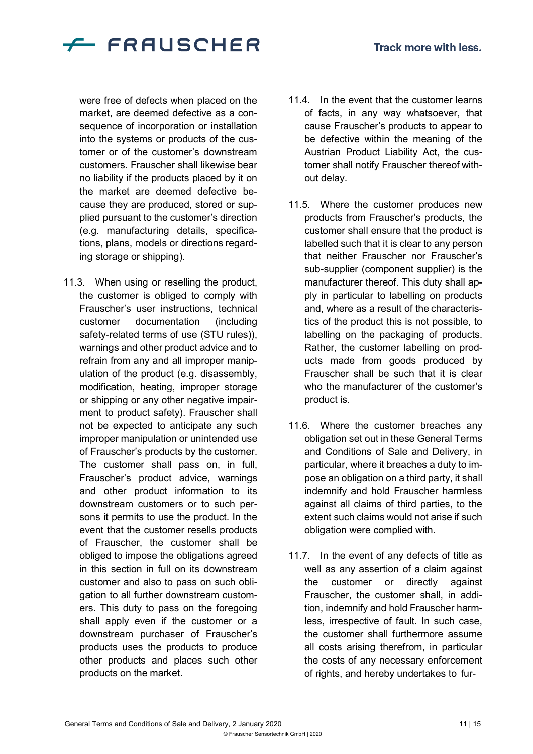

were free of defects when placed on the market, are deemed defective as a consequence of incorporation or installation into the systems or products of the customer or of the customer's downstream customers. Frauscher shall likewise bear no liability if the products placed by it on the market are deemed defective because they are produced, stored or supplied pursuant to the customer's direction (e.g. manufacturing details, specifications, plans, models or directions regarding storage or shipping).

11.3. When using or reselling the product, the customer is obliged to comply with Frauscher's user instructions, technical customer documentation (including safety-related terms of use (STU rules)), warnings and other product advice and to refrain from any and all improper manipulation of the product (e.g. disassembly, modification, heating, improper storage or shipping or any other negative impairment to product safety). Frauscher shall not be expected to anticipate any such improper manipulation or unintended use of Frauscher's products by the customer. The customer shall pass on, in full, Frauscher's product advice, warnings and other product information to its downstream customers or to such persons it permits to use the product. In the event that the customer resells products of Frauscher, the customer shall be obliged to impose the obligations agreed in this section in full on its downstream customer and also to pass on such obligation to all further downstream customers. This duty to pass on the foregoing shall apply even if the customer or a downstream purchaser of Frauscher's products uses the products to produce other products and places such other products on the market.

- 11.4. In the event that the customer learns of facts, in any way whatsoever, that cause Frauscher's products to appear to be defective within the meaning of the Austrian Product Liability Act, the customer shall notify Frauscher thereof without delay.
- 11.5. Where the customer produces new products from Frauscher's products, the customer shall ensure that the product is labelled such that it is clear to any person that neither Frauscher nor Frauscher's sub-supplier (component supplier) is the manufacturer thereof. This duty shall apply in particular to labelling on products and, where as a result of the characteristics of the product this is not possible, to labelling on the packaging of products. Rather, the customer labelling on products made from goods produced by Frauscher shall be such that it is clear who the manufacturer of the customer's product is.
- 11.6. Where the customer breaches any obligation set out in these General Terms and Conditions of Sale and Delivery, in particular, where it breaches a duty to impose an obligation on a third party, it shall indemnify and hold Frauscher harmless against all claims of third parties, to the extent such claims would not arise if such obligation were complied with.
- 11.7. In the event of any defects of title as well as any assertion of a claim against the customer or directly against Frauscher, the customer shall, in addition, indemnify and hold Frauscher harmless, irrespective of fault. In such case, the customer shall furthermore assume all costs arising therefrom, in particular the costs of any necessary enforcement of rights, and hereby undertakes to fur-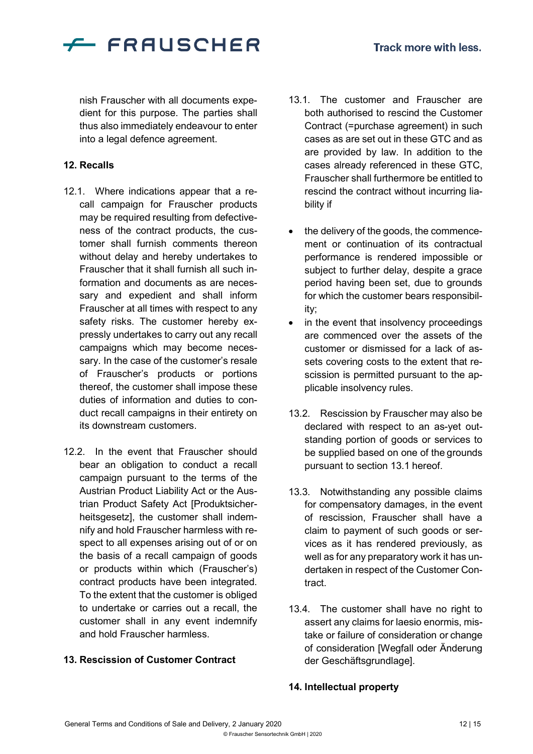

nish Frauscher with all documents expedient for this purpose. The parties shall thus also immediately endeavour to enter into a legal defence agreement.

#### **12. Recalls**

- 12.1. Where indications appear that a recall campaign for Frauscher products may be required resulting from defectiveness of the contract products, the customer shall furnish comments thereon without delay and hereby undertakes to Frauscher that it shall furnish all such information and documents as are necessary and expedient and shall inform Frauscher at all times with respect to any safety risks. The customer hereby expressly undertakes to carry out any recall campaigns which may become necessary. In the case of the customer's resale of Frauscher's products or portions thereof, the customer shall impose these duties of information and duties to conduct recall campaigns in their entirety on its downstream customers.
- 12.2. In the event that Frauscher should bear an obligation to conduct a recall campaign pursuant to the terms of the Austrian Product Liability Act or the Austrian Product Safety Act [Produktsicherheitsgesetz], the customer shall indemnify and hold Frauscher harmless with respect to all expenses arising out of or on the basis of a recall campaign of goods or products within which (Frauscher's) contract products have been integrated. To the extent that the customer is obliged to undertake or carries out a recall, the customer shall in any event indemnify and hold Frauscher harmless.

## **13. Rescission of Customer Contract**

- 13.1. The customer and Frauscher are both authorised to rescind the Customer Contract (=purchase agreement) in such cases as are set out in these GTC and as are provided by law. In addition to the cases already referenced in these GTC, Frauscher shall furthermore be entitled to rescind the contract without incurring liability if
- the delivery of the goods, the commencement or continuation of its contractual performance is rendered impossible or subject to further delay, despite a grace period having been set, due to grounds for which the customer bears responsibility;
- in the event that insolvency proceedings are commenced over the assets of the customer or dismissed for a lack of assets covering costs to the extent that rescission is permitted pursuant to the applicable insolvency rules.
- 13.2. Rescission by Frauscher may also be declared with respect to an as-yet outstanding portion of goods or services to be supplied based on one of the grounds pursuant to section 13.1 hereof.
- 13.3. Notwithstanding any possible claims for compensatory damages, in the event of rescission, Frauscher shall have a claim to payment of such goods or services as it has rendered previously, as well as for any preparatory work it has undertaken in respect of the Customer Contract.
- 13.4. The customer shall have no right to assert any claims for laesio enormis, mistake or failure of consideration or change of consideration [Wegfall oder Änderung der Geschäftsgrundlage].

#### **14. Intellectual property**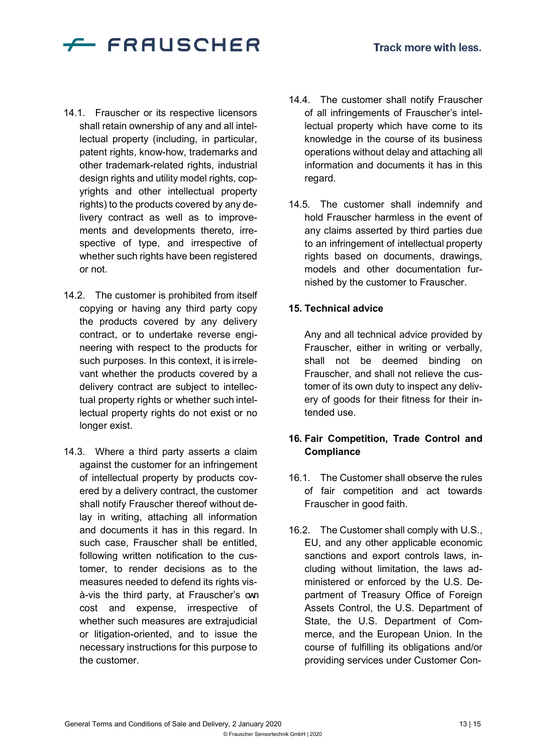

- 14.1. Frauscher or its respective licensors shall retain ownership of any and all intellectual property (including, in particular, patent rights, know-how, trademarks and other trademark-related rights, industrial design rights and utility model rights, copyrights and other intellectual property rights) to the products covered by any delivery contract as well as to improvements and developments thereto, irrespective of type, and irrespective of whether such rights have been registered or not.
- 14.2. The customer is prohibited from itself copying or having any third party copy the products covered by any delivery contract, or to undertake reverse engineering with respect to the products for such purposes. In this context, it is irrelevant whether the products covered by a delivery contract are subject to intellectual property rights or whether such intellectual property rights do not exist or no longer exist.
- 14.3. Where a third party asserts a claim against the customer for an infringement of intellectual property by products covered by a delivery contract, the customer shall notify Frauscher thereof without delay in writing, attaching all information and documents it has in this regard. In such case, Frauscher shall be entitled, following written notification to the customer, to render decisions as to the measures needed to defend its rights visà-vis the third party, at Frauscher's own cost and expense, irrespective of whether such measures are extrajudicial or litigation-oriented, and to issue the necessary instructions for this purpose to the customer.
- 14.4. The customer shall notify Frauscher of all infringements of Frauscher's intellectual property which have come to its knowledge in the course of its business operations without delay and attaching all information and documents it has in this regard.
- 14.5. The customer shall indemnify and hold Frauscher harmless in the event of any claims asserted by third parties due to an infringement of intellectual property rights based on documents, drawings, models and other documentation furnished by the customer to Frauscher.

## **15. Technical advice**

Any and all technical advice provided by Frauscher, either in writing or verbally, shall not be deemed binding on Frauscher, and shall not relieve the customer of its own duty to inspect any delivery of goods for their fitness for their intended use.

## **16. Fair Competition, Trade Control and Compliance**

- 16.1. The Customer shall observe the rules of fair competition and act towards Frauscher in good faith.
- 16.2. The Customer shall comply with U.S., EU, and any other applicable economic sanctions and export controls laws, including without limitation, the laws administered or enforced by the U.S. Department of Treasury Office of Foreign Assets Control, the U.S. Department of State, the U.S. Department of Commerce, and the European Union. In the course of fulfilling its obligations and/or providing services under Customer Con-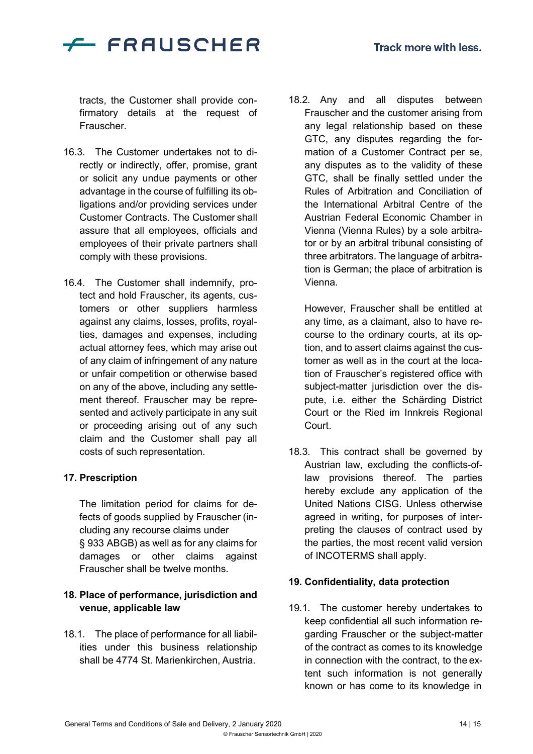

tracts, the Customer shall provide confirmatory details at the request of Frauscher.

- 16.3. The Customer undertakes not to directly or indirectly, offer, promise, grant or solicit any undue payments or other advantage in the course of fulfilling its obligations and/or providing services under Customer Contracts. The Customer shall assure that all employees, officials and employees of their private partners shall comply with these provisions.
- 16.4. The Customer shall indemnify, protect and hold Frauscher, its agents, customers or other suppliers harmless against any claims, losses, profits, royalties, damages and expenses, including actual attorney fees, which may arise out of any claim of infringement of any nature or unfair competition or otherwise based on any of the above, including any settlement thereof. Frauscher may be represented and actively participate in any suit or proceeding arising out of any such claim and the Customer shall pay all costs of such representation.

## **17. Prescription**

The limitation period for claims for defects of goods supplied by Frauscher (including any recourse claims under § 933 ABGB) as well as for any claims for damages or other claims against Frauscher shall be twelve months.

## **18. Place of performance, jurisdiction and venue, applicable law**

18.1. The place of performance for all liabilities under this business relationship shall be 4774 St. Marienkirchen, Austria.

18.2. Any and all disputes between Frauscher and the customer arising from any legal relationship based on these GTC, any disputes regarding the formation of a Customer Contract per se, any disputes as to the validity of these GTC, shall be finally settled under the Rules of Arbitration and Conciliation of the International Arbitral Centre of the Austrian Federal Economic Chamber in Vienna (Vienna Rules) by a sole arbitrator or by an arbitral tribunal consisting of three arbitrators. The language of arbitration is German; the place of arbitration is Vienna.

However, Frauscher shall be entitled at any time, as a claimant, also to have recourse to the ordinary courts, at its option, and to assert claims against the customer as well as in the court at the location of Frauscher's registered office with subject-matter jurisdiction over the dispute, i.e. either the Schärding District Court or the Ried im Innkreis Regional Court.

18.3. This contract shall be governed by Austrian law, excluding the conflicts-oflaw provisions thereof. The parties hereby exclude any application of the United Nations CISG. Unless otherwise agreed in writing, for purposes of interpreting the clauses of contract used by the parties, the most recent valid version of INCOTERMS shall apply.

## **19. Confidentiality, data protection**

19.1. The customer hereby undertakes to keep confidential all such information regarding Frauscher or the subject-matter of the contract as comes to its knowledge in connection with the contract, to the extent such information is not generally known or has come to its knowledge in